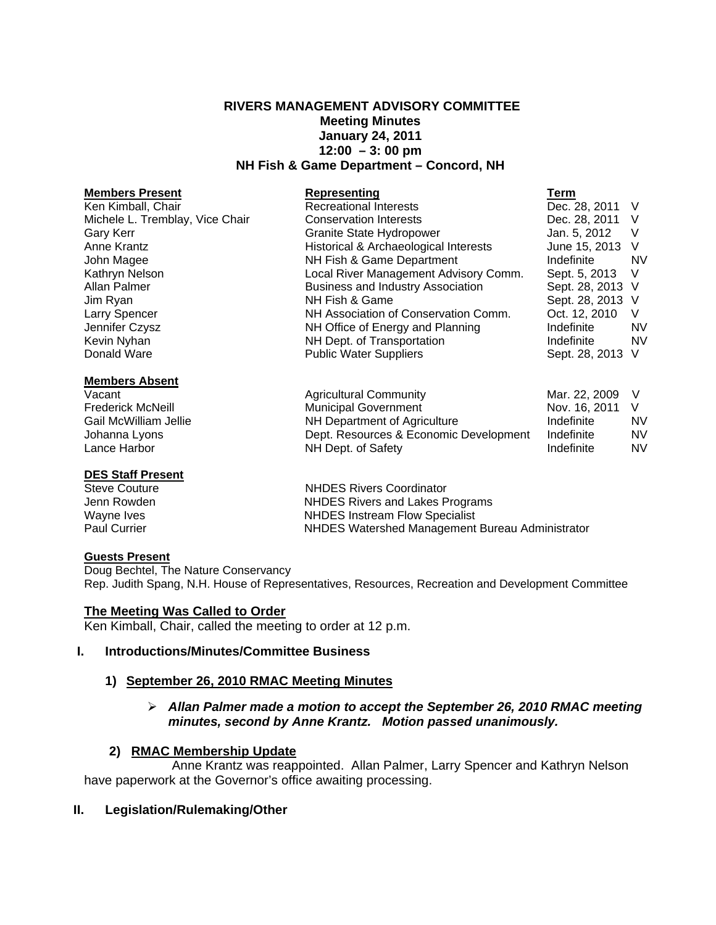## **RIVERS MANAGEMENT ADVISORY COMMITTEE Meeting Minutes January 24, 2011 12:00 – 3: 00 pm NH Fish & Game Department – Concord, NH**

#### **Members Present Construction Construction Representing Construction Term** Ken Kimball, Chair **Recreational Interests** Dec. 28, 2011 V Michele L. Tremblay, Vice Chair Conservation Interests **Dec. 28, 2011** V<br>Granite State Hydropower Grant Conservation Man. 5. 2012 V Gary Kerr **Granite State Hydropower** Granite State Hydropower Jan. 5, 2012 V Anne Krantz **Historical & Archaeological Interests** June 15, 2013 V John Magee **NH Fish & Game Department** Indefinite NV Kathryn Nelson **Local River Management Advisory Comm.** Sept. 5, 2013 V Allan Palmer **Business and Industry Association** Sept. 28, 2013 V Jim Ryan NH Fish & Game Sept. 28, 2013 V Larry Spencer NH Association of Conservation Comm. Oct. 12, 2010 V Jennifer Czysz NH Office of Energy and Planning Indefinite NV Kevin Nyhan NH Dept. of Transportation Indefinite NV Public Water Suppliers

#### **Members Absent**

### **DES Staff Present**

#### **Guests Present**

Doug Bechtel, The Nature Conservancy Rep. Judith Spang, N.H. House of Representatives, Resources, Recreation and Development Committee

### **The Meeting Was Called to Order**

Ken Kimball, Chair, called the meeting to order at 12 p.m.

### **I. Introductions/Minutes/Committee Business**

### **1) September 26, 2010 RMAC Meeting Minutes**

## *Allan Palmer made a motion to accept the September 26, 2010 RMAC meeting minutes, second by Anne Krantz. Motion passed unanimously.*

### **2) RMAC Membership Update**

 Anne Krantz was reappointed. Allan Palmer, Larry Spencer and Kathryn Nelson have paperwork at the Governor's office awaiting processing.

### **II. Legislation/Rulemaking/Other**

Vacant Agricultural Community Mar. 22, 2009 V Frederick McNeill **Municipal Government** Nov. 16, 2011 V Gail McWilliam Jellie **NH Department of Agriculture** Indefinite NV Johanna Lyons Dept. Resources & Economic Development Indefinite NV Lance Harbor **NH Dept. of Safety Indefinite** MV

Steve Couture **NHDES** Rivers Coordinator Jenn Rowden **NHDES** Rivers and Lakes Programs Wayne Ives **NHDES** Instream Flow Specialist Paul Currier NHDES Watershed Management Bureau Administrator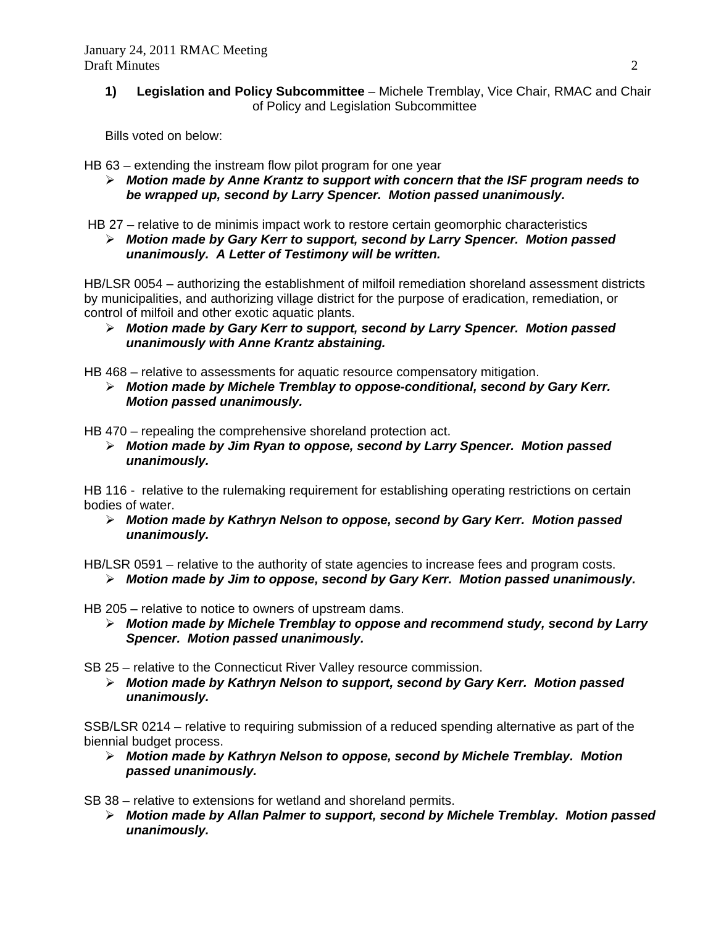**1) Legislation and Policy Subcommittee** – Michele Tremblay, Vice Chair, RMAC and Chair of Policy and Legislation Subcommittee

Bills voted on below:

HB 63 – extending the instream flow pilot program for one year

 *Motion made by Anne Krantz to support with concern that the ISF program needs to be wrapped up, second by Larry Spencer. Motion passed unanimously.* 

HB 27 – relative to de minimis impact work to restore certain geomorphic characteristics

 *Motion made by Gary Kerr to support, second by Larry Spencer. Motion passed unanimously. A Letter of Testimony will be written.*

HB/LSR 0054 – authorizing the establishment of milfoil remediation shoreland assessment districts by municipalities, and authorizing village district for the purpose of eradication, remediation, or control of milfoil and other exotic aquatic plants.

 *Motion made by Gary Kerr to support, second by Larry Spencer. Motion passed unanimously with Anne Krantz abstaining.* 

HB 468 – relative to assessments for aquatic resource compensatory mitigation.

 *Motion made by Michele Tremblay to oppose-conditional, second by Gary Kerr. Motion passed unanimously.* 

HB 470 – repealing the comprehensive shoreland protection act.

 *Motion made by Jim Ryan to oppose, second by Larry Spencer. Motion passed unanimously.* 

HB 116 - relative to the rulemaking requirement for establishing operating restrictions on certain bodies of water.

 *Motion made by Kathryn Nelson to oppose, second by Gary Kerr. Motion passed unanimously.* 

HB/LSR 0591 – relative to the authority of state agencies to increase fees and program costs.

*Motion made by Jim to oppose, second by Gary Kerr. Motion passed unanimously.* 

HB 205 – relative to notice to owners of upstream dams.

 *Motion made by Michele Tremblay to oppose and recommend study, second by Larry Spencer. Motion passed unanimously.* 

SB 25 – relative to the Connecticut River Valley resource commission.

 *Motion made by Kathryn Nelson to support, second by Gary Kerr. Motion passed unanimously.* 

SSB/LSR 0214 – relative to requiring submission of a reduced spending alternative as part of the biennial budget process.

 *Motion made by Kathryn Nelson to oppose, second by Michele Tremblay. Motion passed unanimously.* 

SB 38 – relative to extensions for wetland and shoreland permits.

 *Motion made by Allan Palmer to support, second by Michele Tremblay. Motion passed unanimously.*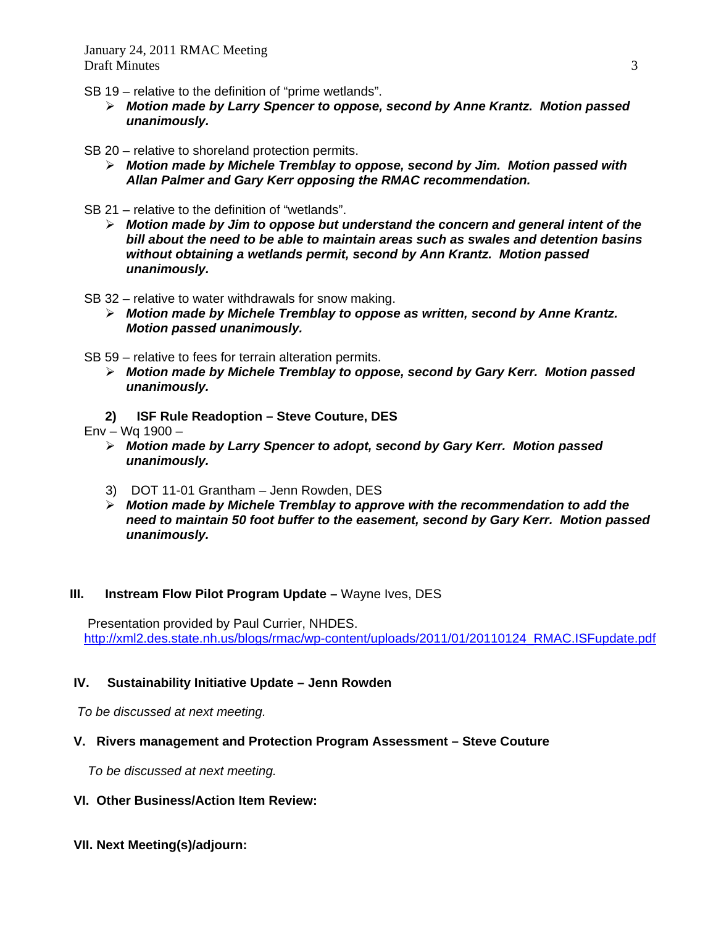- SB 19 relative to the definition of "prime wetlands".
	- *Motion made by Larry Spencer to oppose, second by Anne Krantz. Motion passed unanimously.*
- SB 20 relative to shoreland protection permits.
	- *Motion made by Michele Tremblay to oppose, second by Jim. Motion passed with Allan Palmer and Gary Kerr opposing the RMAC recommendation.*
- SB 21 relative to the definition of "wetlands".
	- *Motion made by Jim to oppose but understand the concern and general intent of the bill about the need to be able to maintain areas such as swales and detention basins without obtaining a wetlands permit, second by Ann Krantz. Motion passed unanimously.*
- SB 32 relative to water withdrawals for snow making.
	- *Motion made by Michele Tremblay to oppose as written, second by Anne Krantz. Motion passed unanimously.*
- SB 59 relative to fees for terrain alteration permits.
	- *Motion made by Michele Tremblay to oppose, second by Gary Kerr. Motion passed unanimously.*
	- **2) ISF Rule Readoption Steve Couture, DES**

Env – Wq 1900 –

- *Motion made by Larry Spencer to adopt, second by Gary Kerr. Motion passed unanimously.*
- 3) DOT 11-01 Grantham Jenn Rowden, DES
- *Motion made by Michele Tremblay to approve with the recommendation to add the need to maintain 50 foot buffer to the easement, second by Gary Kerr. Motion passed unanimously.*

# **III.** Instream Flow Pilot Program Update – Wayne Ives, DES

 Presentation provided by Paul Currier, NHDES. [http://xml2.des.state.nh.us/blogs/rmac/wp-content/uploads/2011/01/20110124\\_RMAC.ISFupdate.pdf](http://xml2.des.state.nh.us/blogs/rmac/wp-content/uploads/2011/01/20110124_RMAC.ISFupdate.pdf)

# **IV. Sustainability Initiative Update – Jenn Rowden**

*To be discussed at next meeting.* 

# **V. Rivers management and Protection Program Assessment – Steve Couture**

*To be discussed at next meeting.*

- **VI. Other Business/Action Item Review:**
- **VII. Next Meeting(s)/adjourn:**